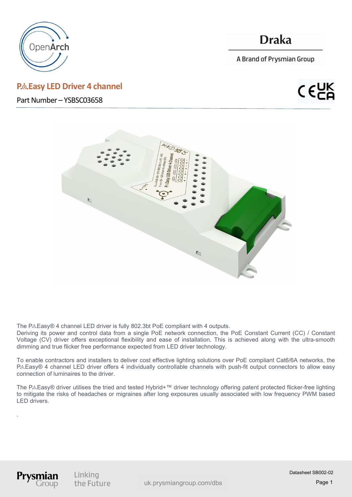

# P.& Easy LED Driver 4 channel

Part Number – YSBSC03658

# **Draka**

A Brand of Prysmian Group





The P& Easy® 4 channel LED driver is fully 802.3bt PoE compliant with 4 outputs.

Deriving its power and control data from a single PoE network connection, the PoE Constant Current (CC) / Constant Voltage (CV) driver offers exceptional flexibility and ease of installation. This is achieved along with the ultra-smooth dimming and true flicker free performance expected from LED driver technology.

To enable contractors and installers to deliver cost effective lighting solutions over PoE compliant Cat6/6A networks, the P&Easy® 4 channel LED driver offers 4 individually controllable channels with push-fit output connectors to allow easy connection of luminaires to the driver.

The P&Easy® driver utilises the tried and tested Hybrid+™ driver technology offering patent protected flicker-free lighting to mitigate the risks of headaches or migraines after long exposures usually associated with low frequency PWM based LED drivers.



.

Linking the Future

Page 1